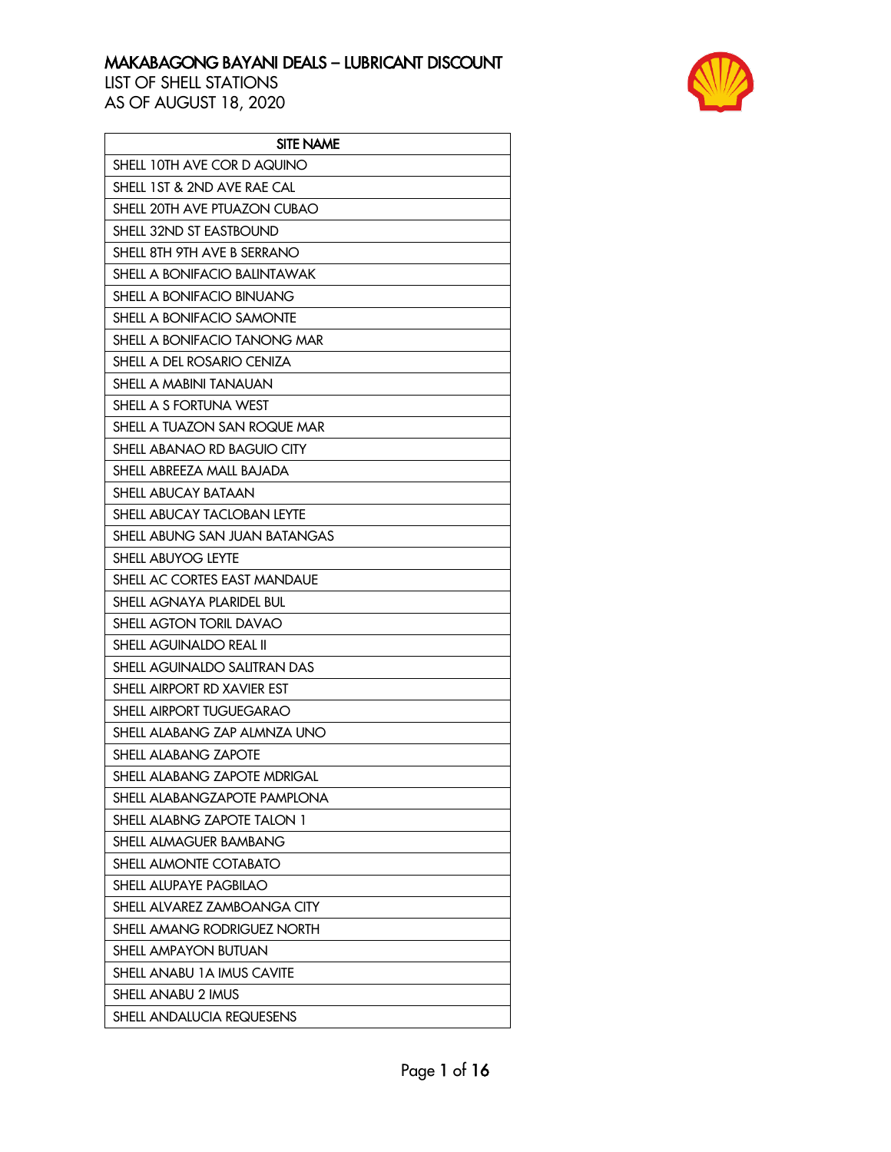

| <b>SITE NAME</b>              |
|-------------------------------|
| SHELL 10TH AVE COR D AQUINO   |
| SHELL 1ST & 2ND AVE RAE CAL   |
| SHELL 20TH AVE PTUAZON CUBAO  |
| SHELL 32ND ST EASTBOUND       |
| SHELL 8TH 9TH AVE B SERRANO   |
| SHELL A BONIFACIO BALINTAWAK  |
| SHELL A BONIFACIO BINUANG     |
| SHELL A BONIFACIO SAMONTE     |
| SHELL A BONIFACIO TANONG MAR  |
| SHELL A DEL ROSARIO CENIZA    |
| SHELL A MABINI TANAUAN        |
| SHELL A S FORTUNA WEST        |
| SHELL A TUAZON SAN ROQUE MAR  |
| SHELL ABANAO RD BAGUIO CITY   |
| SHELL ABREEZA MALL BAJADA     |
| <b>SHELL ABUCAY BATAAN</b>    |
| SHELL ABUCAY TACLOBAN LEYTE   |
| SHELL ABUNG SAN JUAN BATANGAS |
| SHELL ABUYOG LEYTE            |
| SHELL AC CORTES EAST MANDAUE  |
| SHELL AGNAYA PLARIDEL BUL     |
| SHELL AGTON TORIL DAVAO       |
| SHELL AGUINALDO REAL II       |
| SHELL AGUINALDO SALITRAN DAS  |
| SHELL AIRPORT RD XAVIER EST   |
| SHELL AIRPORT TUGUEGARAO      |
| SHELL ALABANG ZAP ALMNZA UNO  |
| SHELL ALABANG ZAPOTE          |
| SHELL ALABANG ZAPOTE MDRIGAL  |
| SHELL ALABANGZAPOTE PAMPLONA  |
| SHELL ALABNG ZAPOTE TALON 1   |
| SHELL ALMAGUER BAMBANG        |
| SHELL ALMONTE COTABATO        |
| SHELL ALUPAYE PAGBILAO        |
| SHELL ALVAREZ ZAMBOANGA CITY  |
| SHELL AMANG RODRIGUEZ NORTH   |
| SHELL AMPAYON BUTUAN          |
| SHELL ANABU 1A IMUS CAVITE    |
| SHELL ANABU 2 IMUS            |
| SHELL ANDALUCIA REQUESENS     |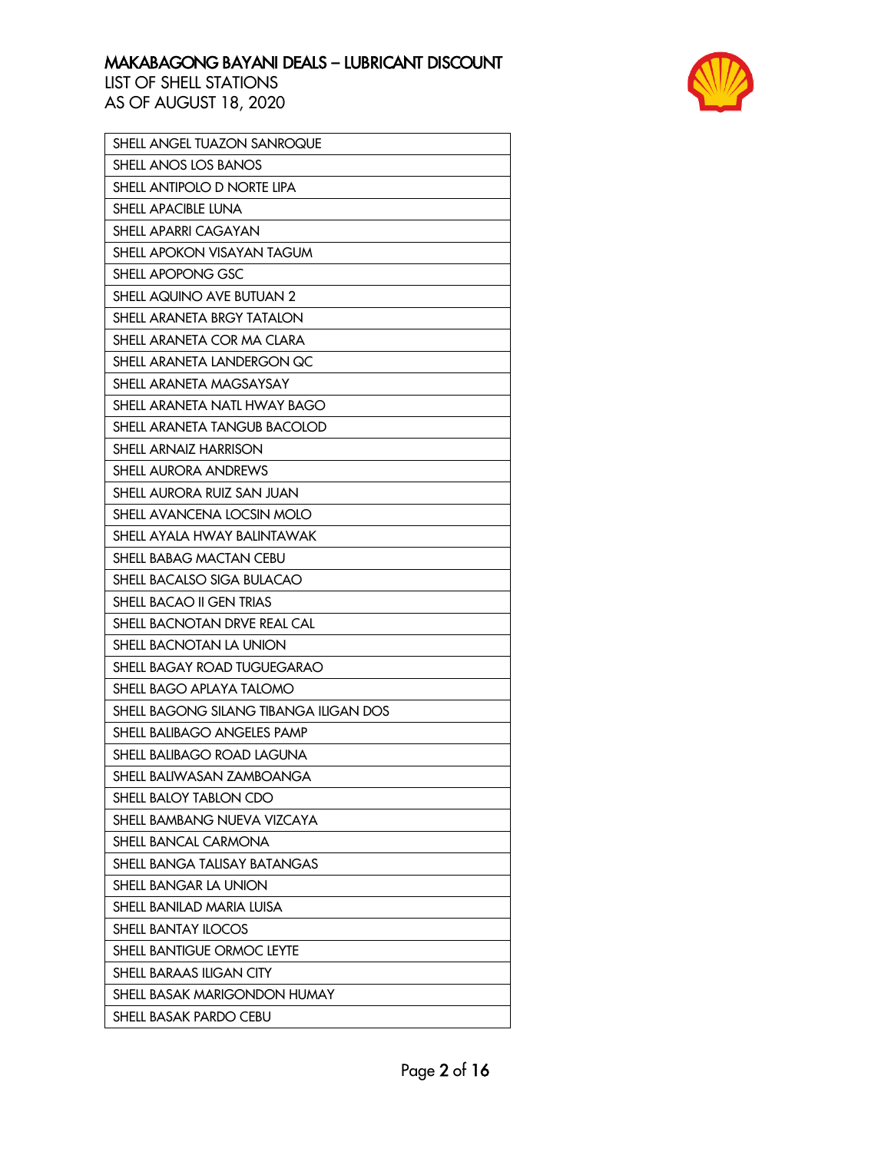

| SHELL ANGEL TUAZON SANROQUE            |
|----------------------------------------|
| SHELL ANOS LOS BANOS                   |
| SHELL ANTIPOLO D NORTE LIPA            |
| SHELL APACIBLE LUNA                    |
| SHELL APARRI CAGAYAN                   |
| SHELL APOKON VISAYAN TAGUM             |
| SHELL APOPONG GSC                      |
| SHELL AQUINO AVE BUTUAN 2              |
| SHELL ARANETA BRGY TATALON             |
| SHELL ARANETA COR MA CLARA             |
| SHELL ARANETA LANDERGON QC             |
| SHELL ARANETA MAGSAYSAY                |
| SHELL ARANETA NATL HWAY BAGO           |
| SHELL ARANETA TANGUB BACOLOD           |
| <b>SHELL ARNAIZ HARRISON</b>           |
| <b>SHELL AURORA ANDREWS</b>            |
| SHELL AURORA RUIZ SAN JUAN             |
| SHELL AVANCENA LOCSIN MOLO             |
| SHELL AYALA HWAY BALINTAWAK            |
| SHELL BABAG MACTAN CEBU                |
| SHELL BACALSO SIGA BULACAO             |
| SHELL BACAO II GEN TRIAS               |
| SHELL BACNOTAN DRVE REAL CAL           |
| SHELL BACNOTAN LA UNION                |
| SHELL BAGAY ROAD TUGUEGARAO            |
| SHELL BAGO APLAYA TALOMO               |
| SHELL BAGONG SILANG TIBANGA ILIGAN DOS |
| SHELL BALIBAGO ANGELES PAMP            |
| SHELL BALIBAGO ROAD LAGUNA             |
| SHELL BALIWASAN ZAMBOANGA              |
| SHELL BALOY TABLON CDO                 |
| SHELL BAMBANG NUEVA VIZCAYA            |
| <b>SHELL BANCAL CARMONA</b>            |
| SHELL BANGA TALISAY BATANGAS           |
| <b>SHELL BANGAR LA UNION</b>           |
| SHELL BANILAD MARIA LUISA              |
| <b>SHELL BANTAY ILOCOS</b>             |
| <b>SHELL BANTIGUE ORMOC LEYTE</b>      |
| <b>SHELL BARAAS ILIGAN CITY</b>        |
| SHELL BASAK MARIGONDON HUMAY           |
| SHELL BASAK PARDO CEBU                 |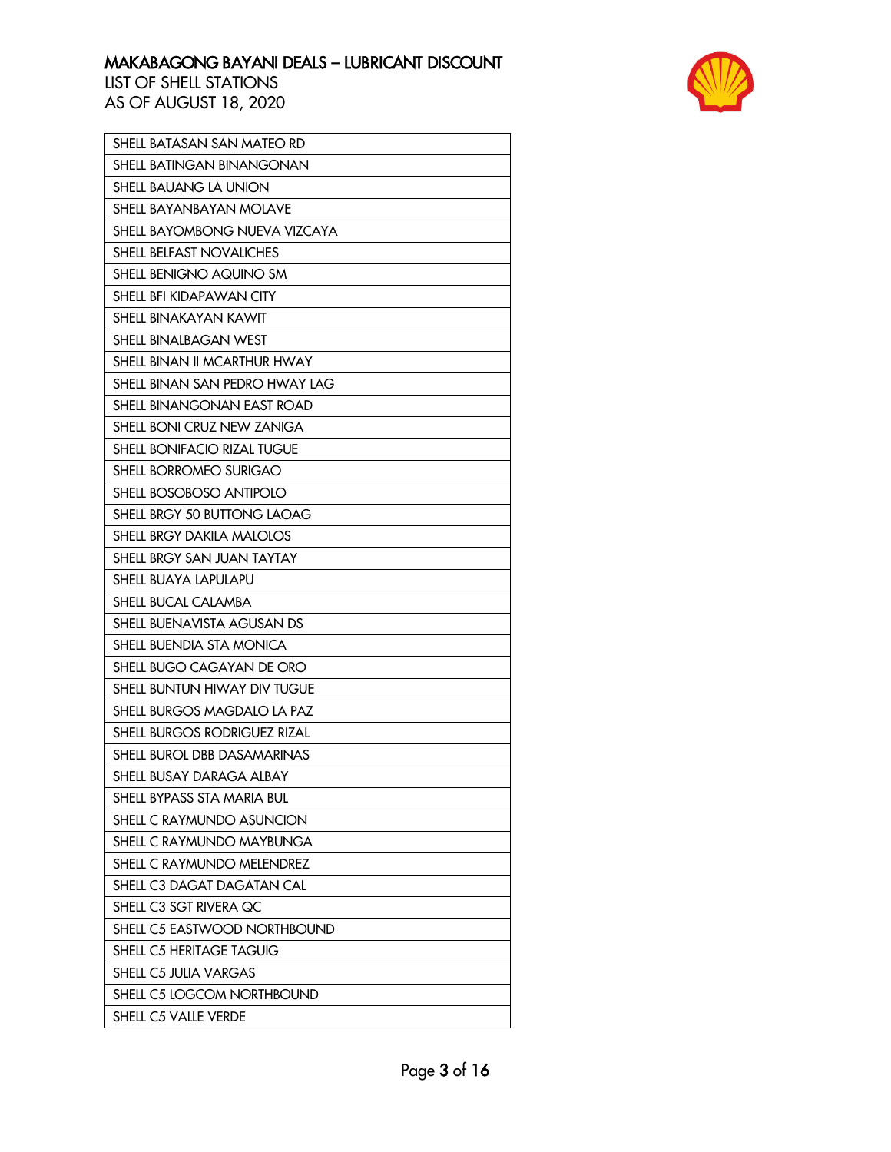

| SHELL BATASAN SAN MATEO RD       |
|----------------------------------|
| <b>SHELL BATINGAN BINANGONAN</b> |
| SHELL BAUANG LA UNION            |
| SHELL BAYANBAYAN MOLAVE          |
| SHELL BAYOMBONG NUEVA VIZCAYA    |
| SHELL BELFAST NOVALICHES         |
| SHELL BENIGNO AQUINO SM          |
| SHELL BFI KIDAPAWAN CITY         |
| <b>SHELL BINAKAYAN KAWIT</b>     |
| <b>SHELL BINALBAGAN WEST</b>     |
| SHELL BINAN II MCARTHUR HWAY     |
| SHELL BINAN SAN PEDRO HWAY LAG   |
| SHELL BINANGONAN EAST ROAD       |
| SHELL BONI CRUZ NEW ZANIGA       |
| SHELL BONIFACIO RIZAL TUGUE      |
| SHELL BORROMEO SURIGAO           |
| SHELL BOSOBOSO ANTIPOLO          |
| SHELL BRGY 50 BUTTONG LAOAG      |
| SHELL BRGY DAKILA MALOLOS        |
| SHELL BRGY SAN JUAN TAYTAY       |
| SHELL BUAYA LAPULAPU             |
| SHELL BUCAL CALAMBA              |
| SHELL BUENAVISTA AGUSAN DS       |
| SHELL BUENDIA STA MONICA         |
| SHELL BUGO CAGAYAN DE ORO        |
| SHELL BUNTUN HIWAY DIV TUGUE     |
| SHELL BURGOS MAGDALO LA PAZ      |
| SHELL BURGOS RODRIGUEZ RIZAL     |
| SHELL BUROL DBB DASAMARINAS      |
| SHELL BUSAY DARAGA ALBAY         |
| SHELL BYPASS STA MARIA BUL       |
| SHELL C RAYMUNDO ASUNCION        |
| SHELL C RAYMUNDO MAYBUNGA        |
| SHELL C RAYMUNDO MELENDREZ       |
| SHELL C3 DAGAT DAGATAN CAL       |
| SHELL C3 SGT RIVERA QC           |
| SHELL C5 EASTWOOD NORTHBOUND     |
| SHELL C5 HERITAGE TAGUIG         |
| SHELL C5 JULIA VARGAS            |
| SHELL C5 LOGCOM NORTHBOUND       |
| SHELL C5 VALLE VERDE             |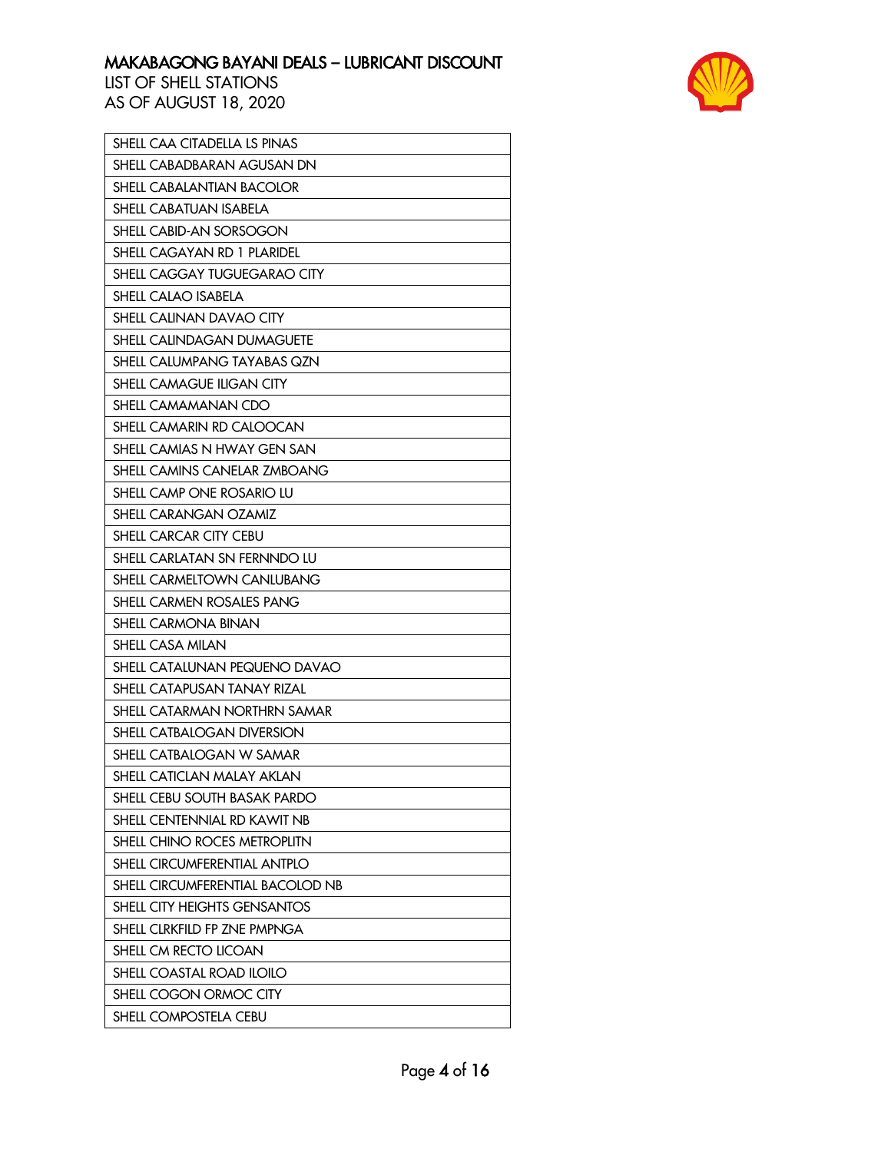

| SHELL CAA CITADELLA LS PINAS        |
|-------------------------------------|
| SHELL CABADBARAN AGUSAN DN          |
| <b>SHELL CABALANTIAN BACOLOR</b>    |
| <b>SHELL CABATUAN ISABELA</b>       |
| SHELL CABID-AN SORSOGON             |
| SHELL CAGAYAN RD 1 PLARIDEL         |
| SHELL CAGGAY TUGUEGARAO CITY        |
| SHELL CALAO ISABELA                 |
| <b>SHELL CALINAN DAVAO CITY</b>     |
| <b>SHELL CALINDAGAN DUMAGUETE</b>   |
| SHELL CALUMPANG TAYABAS QZN         |
| <b>SHELL CAMAGUE ILIGAN CITY</b>    |
| SHELL CAMAMANAN CDO                 |
| SHELL CAMARIN RD CALOOCAN           |
| SHELL CAMIAS N HWAY GEN SAN         |
| SHELL CAMINS CANELAR ZMBOANG        |
| SHELL CAMP ONE ROSARIO LU           |
| <b>SHELL CARANGAN OZAMIZ</b>        |
| SHELL CARCAR CITY CEBU              |
| SHELL CARLATAN SN FERNNDO LU        |
| <b>SHELL CARMELTOWN CANLUBANG</b>   |
| SHELL CARMEN ROSALES PANG           |
| <b>SHELL CARMONA BINAN</b>          |
| <b>SHELL CASA MILAN</b>             |
| SHELL CATALUNAN PEQUENO DAVAO       |
| SHELL CATAPUSAN TANAY RIZAL         |
| SHELL CATARMAN NORTHRN SAMAR        |
| SHELL CATBALOGAN DIVERSION          |
| SHELL CATBALOGAN W SAMAR            |
| SHELL CATICLAN MALAY AKLAN          |
| SHELL CEBU SOUTH BASAK PARDO        |
| SHELL CENTENNIAL RD KAWIT NB        |
| SHELL CHINO ROCES METROPLITN        |
| SHELL CIRCUMFERENTIAL ANTPLO        |
| SHELL CIRCUMFERENTIAL BACOLOD NB    |
| <b>SHELL CITY HEIGHTS GENSANTOS</b> |
| SHELL CLRKFILD FP ZNE PMPNGA        |
| SHELL CM RECTO LICOAN               |
| SHELL COASTAL ROAD ILOILO           |
| SHELL COGON ORMOC CITY              |
| SHELL COMPOSTELA CEBU               |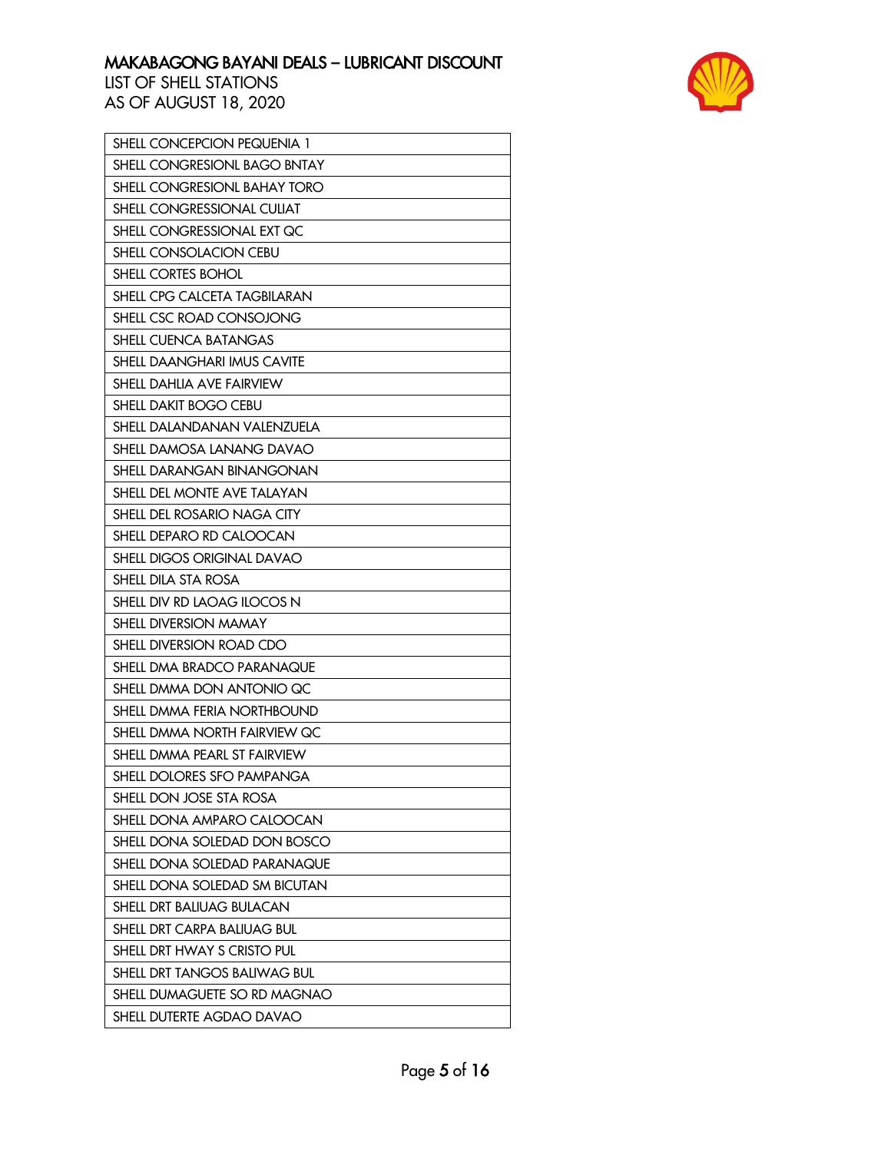

| SHELL CONCEPCION PEQUENIA 1   |
|-------------------------------|
| SHELL CONGRESIONL BAGO BNTAY  |
| SHELL CONGRESIONL BAHAY TORO  |
| SHELL CONGRESSIONAL CULIAT    |
| SHELL CONGRESSIONAL EXT QC    |
| SHELL CONSOLACION CEBU        |
| SHELL CORTES BOHOL            |
| SHELL CPG CALCETA TAGBILARAN  |
| SHELL CSC ROAD CONSOJONG      |
| SHELL CUENCA BATANGAS         |
| SHELL DAANGHARI IMUS CAVITE   |
| SHELL DAHLIA AVE FAIRVIEW     |
| SHELL DAKIT BOGO CEBU         |
| SHELL DALANDANAN VALENZUELA   |
| SHELL DAMOSA LANANG DAVAO     |
| SHELL DARANGAN BINANGONAN     |
| SHELL DEL MONTE AVE TALAYAN   |
| SHELL DEL ROSARIO NAGA CITY   |
| SHELL DEPARO RD CALOOCAN      |
| SHELL DIGOS ORIGINAL DAVAO    |
| SHELL DILA STA ROSA           |
| SHELL DIV RD LAOAG ILOCOS N   |
| SHELL DIVERSION MAMAY         |
| SHELL DIVERSION ROAD CDO      |
| SHELL DMA BRADCO PARANAQUE    |
| SHELL DMMA DON ANTONIO QC     |
| SHELL DMMA FERIA NORTHBOUND   |
| SHELL DMMA NORTH FAIRVIEW QC  |
| SHELL DMMA PEARL ST FAIRVIEW  |
| SHELL DOLORES SFO PAMPANGA    |
| SHELL DON JOSE STA ROSA       |
| SHELL DONA AMPARO CALOOCAN    |
| SHELL DONA SOLEDAD DON BOSCO  |
| SHELL DONA SOLEDAD PARANAQUE  |
| SHELL DONA SOLEDAD SM BICUTAN |
| SHELL DRT BALIUAG BULACAN     |
| SHELL DRT CARPA BALIUAG BUL   |
| SHELL DRT HWAY S CRISTO PUL   |
| SHELL DRT TANGOS BALIWAG BUL  |
| SHELL DUMAGUETE SO RD MAGNAO  |
| SHELL DUTERTE AGDAO DAVAO     |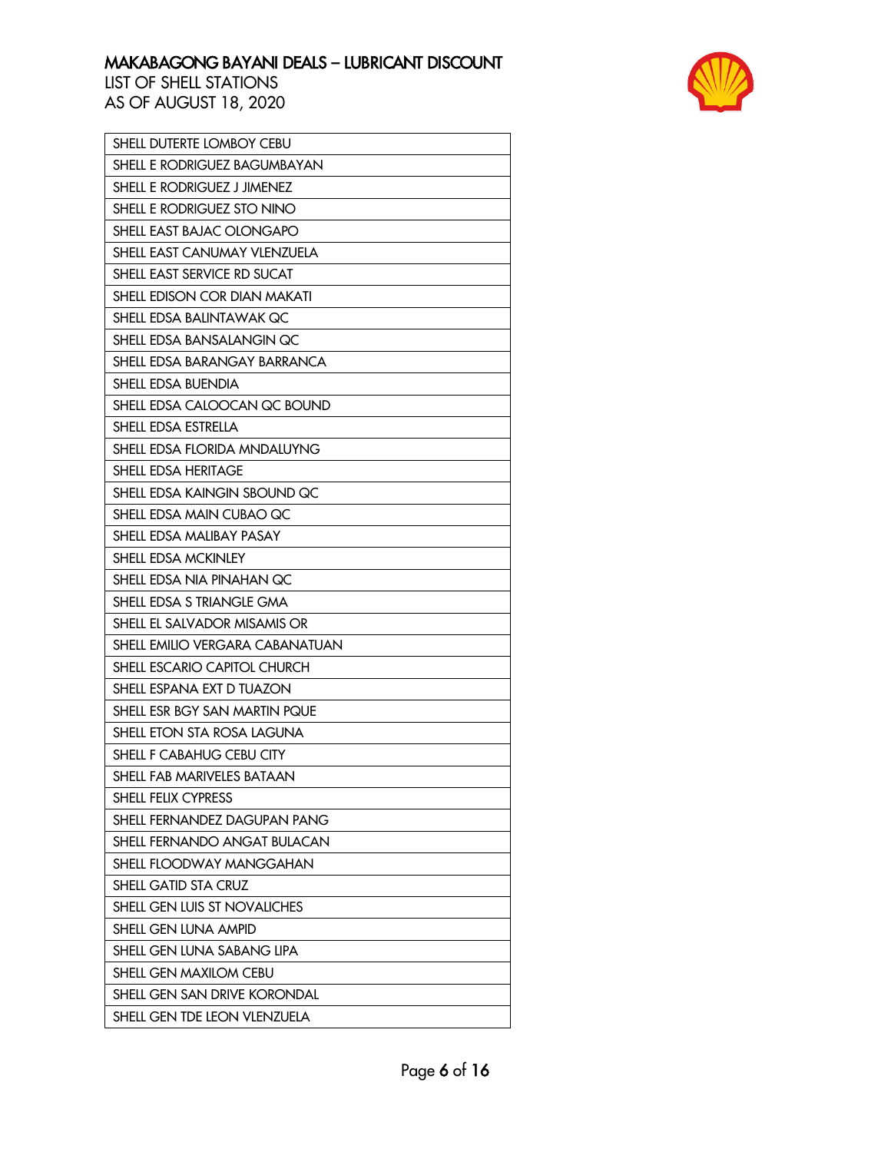

| SHELL DUTERTE LOMBOY CEBU           |
|-------------------------------------|
| SHELL E RODRIGUEZ BAGUMBAYAN        |
| SHELL E RODRIGUEZ J JIMENEZ         |
| SHELL E RODRIGUEZ STO NINO          |
| SHELL EAST BAJAC OLONGAPO           |
| SHELL EAST CANUMAY VLENZUELA        |
| SHELL EAST SERVICE RD SUCAT         |
| SHELL EDISON COR DIAN MAKATI        |
| SHELL EDSA BALINTAWAK QC            |
| SHELL EDSA BANSALANGIN QC           |
| SHELL EDSA BARANGAY BARRANCA        |
| SHELL EDSA BUENDIA                  |
| SHELL EDSA CALOOCAN QC BOUND        |
| SHELL EDSA ESTRELLA                 |
| SHELL EDSA FLORIDA MNDALUYNG        |
| SHELL EDSA HERITAGE                 |
| SHELL EDSA KAINGIN SBOUND QC        |
| SHELL EDSA MAIN CUBAO QC            |
| SHELL EDSA MALIBAY PASAY            |
| SHELL EDSA MCKINLEY                 |
| SHELL EDSA NIA PINAHAN QC           |
| SHELL EDSA S TRIANGLE GMA           |
| SHELL EL SALVADOR MISAMIS OR        |
| SHELL EMILIO VERGARA CABANATUAN     |
| SHELL ESCARIO CAPITOL CHURCH        |
| SHELL ESPANA EXT D TUAZON           |
| SHELL ESR BGY SAN MARTIN PQUE       |
| SHELL ETON STA ROSA LAGUNA          |
| SHELL F CABAHUG CEBU CITY           |
| SHELL FAB MARIVELES BATAAN          |
| SHELL FELIX CYPRESS                 |
| SHELL FERNANDEZ DAGUPAN PANG        |
| SHELL FERNANDO ANGAT BULACAN        |
| SHELL FLOODWAY MANGGAHAN            |
| SHELL GATID STA CRUZ                |
| SHELL GEN LUIS ST NOVALICHES        |
| SHELL GEN LUNA AMPID                |
| SHELL GEN LUNA SABANG LIPA          |
| SHELL GEN MAXILOM CEBU              |
| <b>SHELL GEN SAN DRIVE KORONDAL</b> |
| SHELL GEN TDE LEON VLENZUELA        |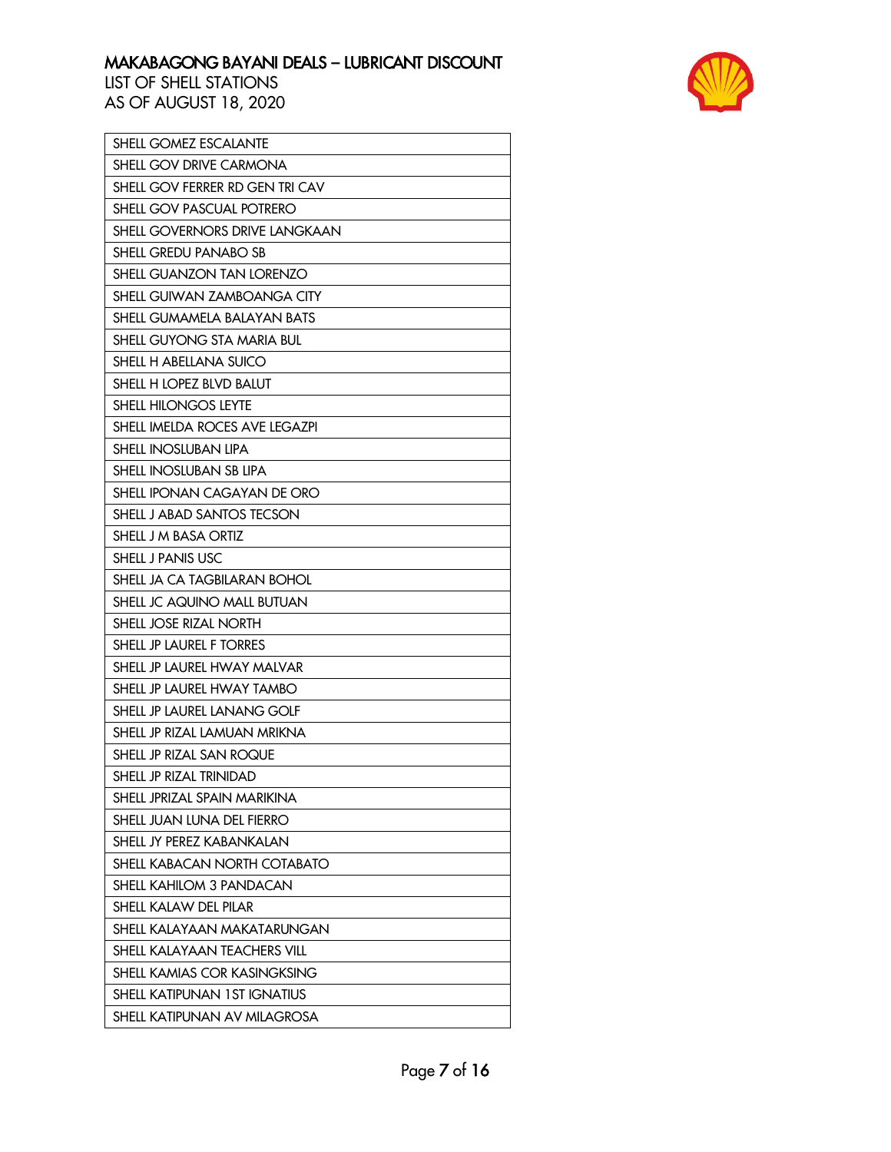

| SHELL GOMEZ ESCALANTE               |
|-------------------------------------|
| SHELL GOV DRIVE CARMONA             |
| SHELL GOV FERRER RD GEN TRI CAV     |
| SHELL GOV PASCUAL POTRERO           |
| SHELL GOVERNORS DRIVE LANGKAAN      |
| SHELL GREDU PANABO SB               |
| SHELL GUANZON TAN LORENZO           |
| SHELL GUIWAN ZAMBOANGA CITY         |
| SHELL GUMAMELA BALAYAN BATS         |
| SHELL GUYONG STA MARIA BUL          |
| SHELL H ABELLANA SUICO              |
| SHELL H LOPEZ BLVD BALUT            |
| SHELL HILONGOS LEYTE                |
| SHELL IMELDA ROCES AVE LEGAZPI      |
| <b>SHELL INOSLUBAN LIPA</b>         |
| SHELL INOSLUBAN SB LIPA             |
| SHELL IPONAN CAGAYAN DE ORO         |
| SHELL J ABAD SANTOS TECSON          |
| SHELL J M BASA ORTIZ                |
| SHELL J PANIS USC                   |
| SHELL JA CA TAGBILARAN BOHOL        |
| SHELL JC AQUINO MALL BUTUAN         |
| SHELL JOSE RIZAL NORTH              |
| SHELL JP LAUREL F TORRES            |
| SHELL JP LAUREL HWAY MALVAR         |
| SHELL JP LAUREL HWAY TAMBO          |
| SHELL JP LAUREL LANANG GOLF         |
| SHELL JP RIZAL LAMUAN MRIKNA        |
| SHELL JP RIZAL SAN ROQUE            |
| SHELL JP RIZAL TRINIDAD             |
| SHELL JPRIZAL SPAIN MARIKINA        |
| SHELL JUAN LUNA DEL FIERRO          |
| SHELL JY PEREZ KABANKALAN           |
| SHELL KABACAN NORTH COTABATO        |
| SHELL KAHILOM 3 PANDACAN            |
| SHELL KALAW DEL PILAR               |
| SHELL KALAYAAN MAKATARUNGAN         |
| SHELL KALAYAAN TEACHERS VILL        |
| <b>SHELL KAMIAS COR KASINGKSING</b> |
| SHELL KATIPUNAN 1ST IGNATIUS        |
| SHELL KATIPUNAN AV MILAGROSA        |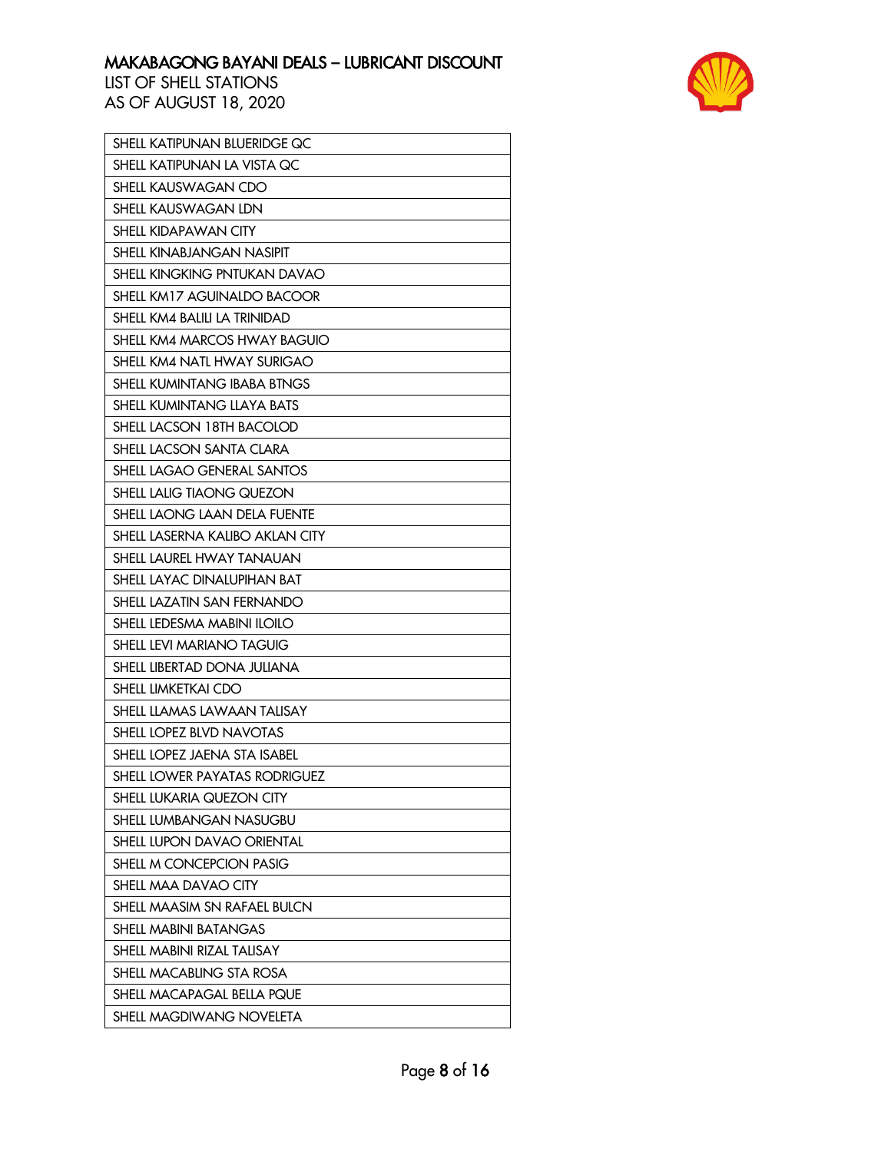

| SHELL KATIPUNAN BLUERIDGE QC    |
|---------------------------------|
| SHELL KATIPUNAN LA VISTA QC     |
| SHELL KAUSWAGAN CDO             |
| SHELL KAUSWAGAN LDN             |
| SHELL KIDAPAWAN CITY            |
| SHELL KINABJANGAN NASIPIT       |
| SHELL KINGKING PNTUKAN DAVAO    |
| SHELL KM17 AGUINALDO BACOOR     |
| SHELL KM4 BALILI LA TRINIDAD    |
| SHELL KM4 MARCOS HWAY BAGUIO    |
| SHELL KM4 NATL HWAY SURIGAO     |
| SHELL KUMINTANG IBABA BTNGS     |
| SHELL KUMINTANG LLAYA BATS      |
| SHELL LACSON 18TH BACOLOD       |
| SHELL LACSON SANTA CLARA        |
| SHELL LAGAO GENERAL SANTOS      |
| SHELL LALIG TIAONG QUEZON       |
| SHELL LAONG LAAN DELA FUENTE    |
| SHELL LASERNA KALIBO AKLAN CITY |
| SHELL LAUREL HWAY TANAUAN       |
| SHELL LAYAC DINALUPIHAN BAT     |
| SHELL LAZATIN SAN FERNANDO      |
| SHELL LEDESMA MABINI ILOILO     |
| SHELL LEVI MARIANO TAGUIG       |
| SHELL LIBERTAD DONA JULIANA     |
| SHELL LIMKETKAI CDO             |
| SHELL LLAMAS LAWAAN TALISAY     |
| SHELL LOPEZ BLVD NAVOTAS        |
| SHELL LOPEZ JAENA STA ISABEL    |
| SHELL LOWER PAYATAS RODRIGUEZ   |
| SHELL LUKARIA QUEZON CITY       |
| <b>SHELL LUMBANGAN NASUGBU</b>  |
| SHELL LUPON DAVAO ORIENTAL      |
| SHELL M CONCEPCION PASIG        |
| SHELL MAA DAVAO CITY            |
| SHELL MAASIM SN RAFAEL BULCN    |
| SHELL MABINI BATANGAS           |
| SHELL MABINI RIZAL TALISAY      |
| SHELL MACABLING STA ROSA        |
| SHELL MACAPAGAL BELLA PQUE      |
| SHELL MAGDIWANG NOVELETA        |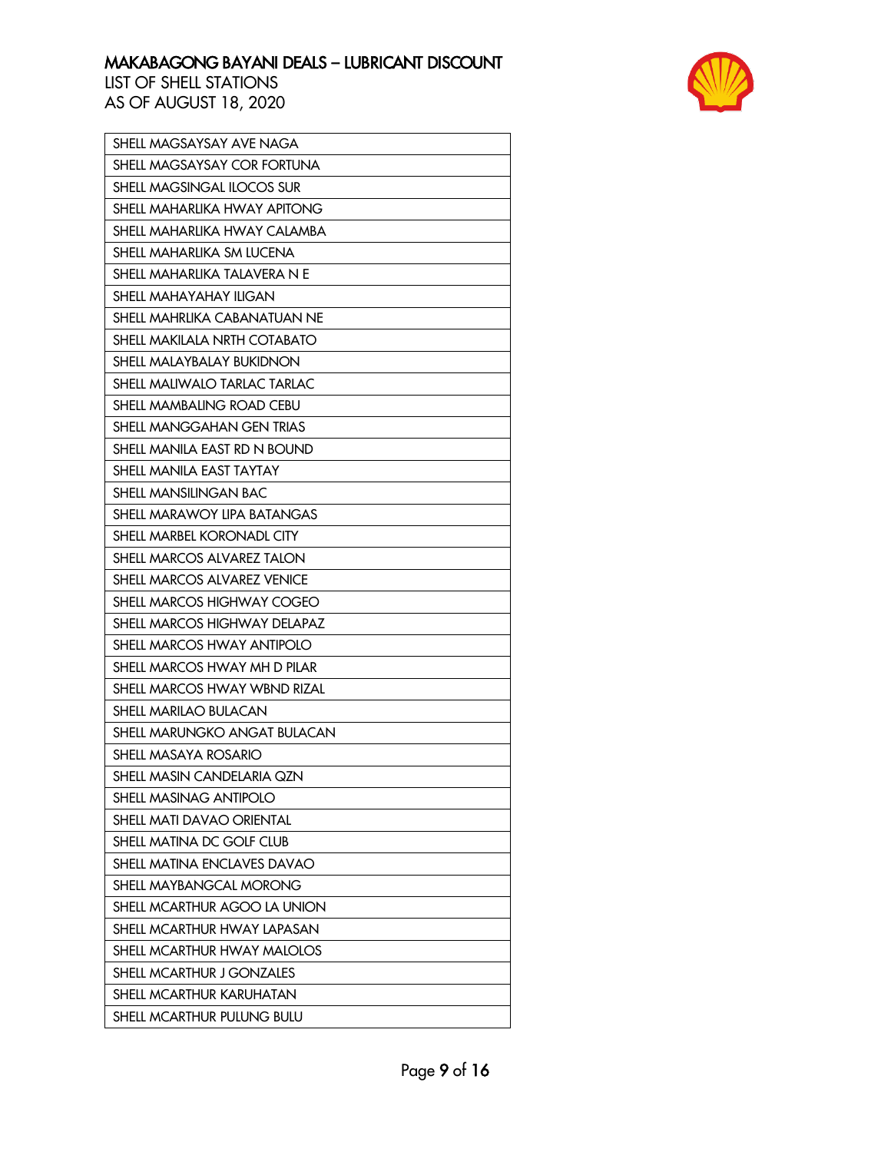

| SHELL MAGSAYSAY AVE NAGA         |
|----------------------------------|
| SHELL MAGSAYSAY COR FORTUNA      |
| SHELL MAGSINGAL ILOCOS SUR       |
| SHELL MAHARLIKA HWAY APITONG     |
| SHELL MAHARLIKA HWAY CALAMBA     |
| SHELL MAHARLIKA SM LUCENA        |
| SHELL MAHARLIKA TALAVERA N E     |
| SHELL MAHAYAHAY ILIGAN           |
| SHELL MAHRLIKA CABANATUAN NE     |
| SHELL MAKILALA NRTH COTABATO     |
| SHELL MALAYBALAY BUKIDNON        |
| SHELL MALIWALO TARLAC TARLAC     |
| SHELL MAMBALING ROAD CEBU        |
| SHELL MANGGAHAN GEN TRIAS        |
| SHELL MANILA EAST RD N BOUND     |
| SHELL MANILA EAST TAYTAY         |
| SHELL MANSILINGAN BAC            |
| SHELL MARAWOY LIPA BATANGAS      |
| SHELL MARBEL KORONADL CITY       |
| SHELL MARCOS ALVAREZ TALON       |
| SHELL MARCOS ALVAREZ VENICE      |
| SHELL MARCOS HIGHWAY COGEO       |
| SHELL MARCOS HIGHWAY DELAPAZ     |
| SHELL MARCOS HWAY ANTIPOLO       |
| SHELL MARCOS HWAY MH D PILAR     |
| SHELL MARCOS HWAY WBND RIZAL     |
| SHELL MARILAO BULACAN            |
| SHELL MARUNGKO ANGAT BULACAN     |
| SHELL MASAYA ROSARIO             |
| SHELL MASIN CANDELARIA QZN       |
| SHELL MASINAG ANTIPOLO           |
| SHELL MATI DAVAO ORIENTAL        |
| SHELL MATINA DC GOLF CLUB        |
| SHELL MATINA ENCLAVES DAVAO      |
| SHELL MAYBANGCAL MORONG          |
| SHELL MCARTHUR AGOO LA UNION     |
| SHELL MCARTHUR HWAY LAPASAN      |
| SHELL MCARTHUR HWAY MALOLOS      |
| <b>SHELL MCARTHUR J GONZALES</b> |
| SHELL MCARTHUR KARUHATAN         |
| SHELL MCARTHUR PULUNG BULU       |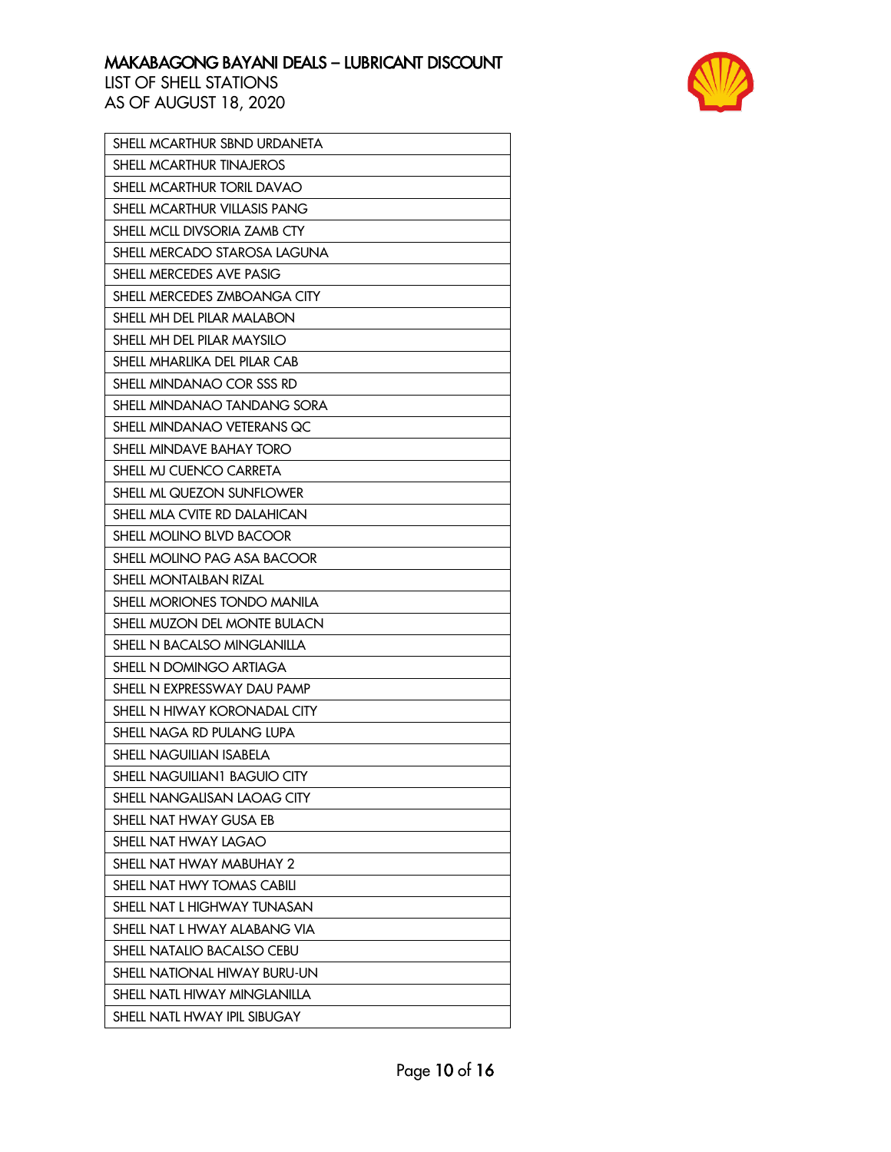

| SHELL MCARTHUR SBND URDANETA |
|------------------------------|
| SHELL MCARTHUR TINAJEROS     |
| SHELL MCARTHUR TORIL DAVAO   |
| SHELL MCARTHUR VILLASIS PANG |
| SHELL MCLL DIVSORIA ZAMB CTY |
| SHELL MERCADO STAROSA LAGUNA |
| SHELL MERCEDES AVE PASIG     |
| SHELL MERCEDES ZMBOANGA CITY |
| SHELL MH DEL PILAR MALABON   |
| SHELL MH DEL PILAR MAYSILO   |
| SHELL MHARLIKA DEL PILAR CAB |
| SHELL MINDANAO COR SSS RD    |
| SHELL MINDANAO TANDANG SORA  |
| SHELL MINDANAO VETERANS QC   |
| SHELL MINDAVE BAHAY TORO     |
| SHELL MJ CUENCO CARRETA      |
| SHELL ML QUEZON SUNFLOWER    |
| SHELL MLA CVITE RD DALAHICAN |
| SHELL MOLINO BLVD BACOOR     |
| SHELL MOLINO PAG ASA BACOOR  |
| SHELL MONTALBAN RIZAL        |
| SHELL MORIONES TONDO MANILA  |
| SHELL MUZON DEL MONTE BULACN |
| SHELL N BACALSO MINGLANILLA  |
| SHELL N DOMINGO ARTIAGA      |
| SHELL N EXPRESSWAY DAU PAMP  |
| SHELL N HIWAY KORONADAL CITY |
| SHELL NAGA RD PULANG LUPA    |
| SHELL NAGUILIAN ISABELA      |
| SHELL NAGUILIAN1 BAGUIO CITY |
| SHELL NANGALISAN LAOAG CITY  |
| SHELL NAT HWAY GUSA EB       |
| SHELL NAT HWAY LAGAO         |
| SHELL NAT HWAY MABUHAY 2     |
| SHELL NAT HWY TOMAS CABILI   |
| SHELL NAT L HIGHWAY TUNASAN  |
| SHELL NAT L HWAY ALABANG VIA |
| SHELL NATALIO BACALSO CEBU   |
| SHELL NATIONAL HIWAY BURU-UN |
| SHELL NATL HIWAY MINGLANILLA |
| SHELL NATL HWAY IPIL SIBUGAY |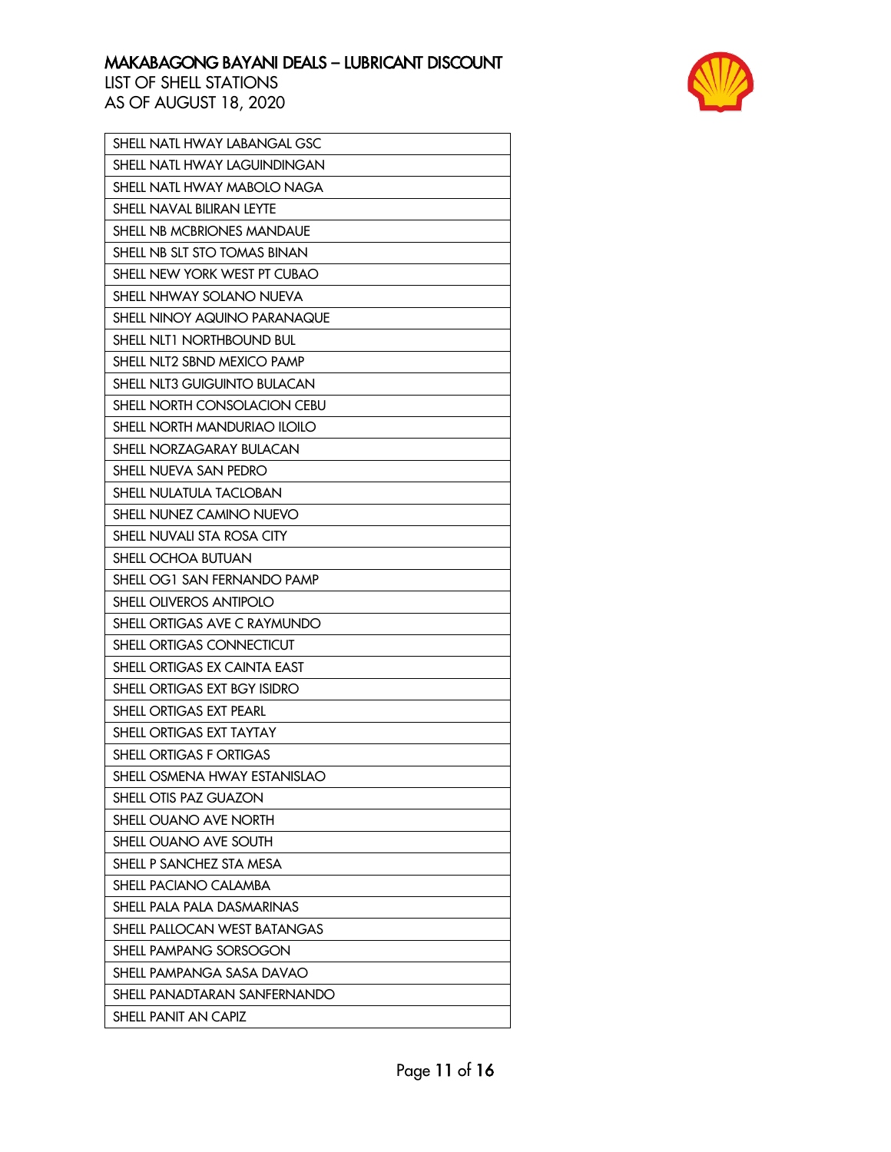

| SHELL NATL HWAY LABANGAL GSC     |
|----------------------------------|
| SHELL NATL HWAY LAGUINDINGAN     |
| SHELL NATL HWAY MABOLO NAGA      |
| <b>SHELL NAVAL BILIRAN LEYTE</b> |
| SHELL NB MCBRIONES MANDAUE       |
| SHELL NB SLT STO TOMAS BINAN     |
| SHELL NEW YORK WEST PT CUBAO     |
| SHELL NHWAY SOLANO NUEVA         |
| SHELL NINOY AQUINO PARANAQUE     |
| SHELL NLT1 NORTHBOUND BUL        |
| SHELL NLT2 SBND MEXICO PAMP      |
| SHELL NLT3 GUIGUINTO BULACAN     |
| SHELL NORTH CONSOLACION CEBU     |
| SHELL NORTH MANDURIAO ILOILO     |
| SHELL NORZAGARAY BULACAN         |
| SHELL NUEVA SAN PEDRO            |
| SHELL NULATULA TACLOBAN          |
| SHELL NUNEZ CAMINO NUEVO         |
| SHELL NUVALI STA ROSA CITY       |
| SHELL OCHOA BUTUAN               |
| SHELL OG1 SAN FERNANDO PAMP      |
| SHELL OLIVEROS ANTIPOLO          |
| SHELL ORTIGAS AVE C RAYMUNDO     |
| SHELL ORTIGAS CONNECTICUT        |
| SHELL ORTIGAS EX CAINTA EAST     |
| SHELL ORTIGAS EXT BGY ISIDRO     |
| SHELL ORTIGAS EXT PEARL          |
| SHELL ORTIGAS EXT TAYTAY         |
| SHELL ORTIGAS F ORTIGAS          |
| SHELL OSMENA HWAY ESTANISLAO     |
| SHELL OTIS PAZ GUAZON            |
| SHELL OUANO AVE NORTH            |
| SHELL OUANO AVE SOUTH            |
| SHELL P SANCHEZ STA MESA         |
| SHELL PACIANO CALAMBA            |
| SHELL PALA PALA DASMARINAS       |
| SHELL PALLOCAN WEST BATANGAS     |
| SHELL PAMPANG SORSOGON           |
| SHELL PAMPANGA SASA DAVAO        |
| SHELL PANADTARAN SANFERNANDO     |
| <b>SHELL PANIT AN CAPIZ</b>      |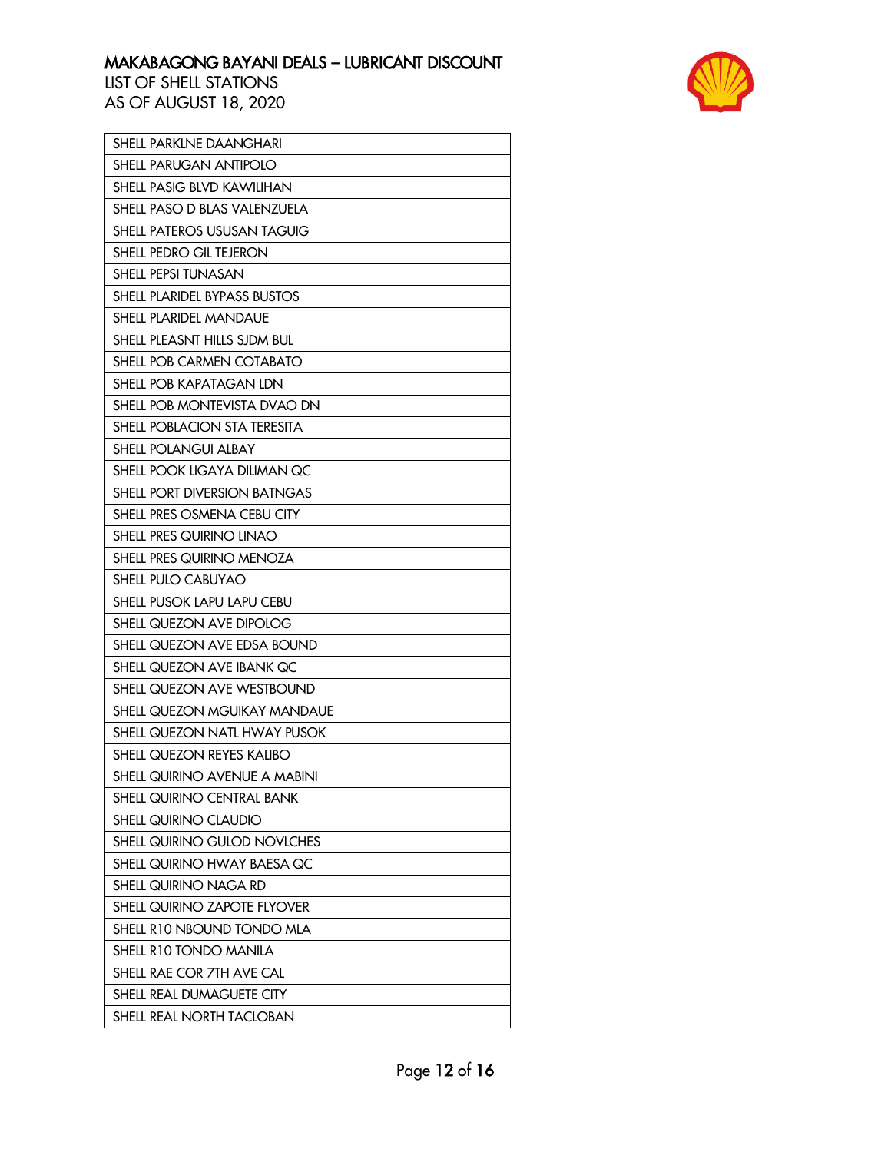

| SHELL PARKLNE DAANGHARI             |
|-------------------------------------|
| SHELL PARUGAN ANTIPOLO              |
| SHELL PASIG BLVD KAWILIHAN          |
| SHELL PASO D BLAS VALENZUELA        |
| <b>SHELL PATEROS USUSAN TAGUIG</b>  |
| SHELL PEDRO GIL TEJERON             |
| SHELL PEPSI TUNASAN                 |
| SHELL PLARIDEL BYPASS BUSTOS        |
| SHELL PLARIDEL MANDAUE              |
| SHELL PLEASNT HILLS SJDM BUL        |
| SHELL POB CARMEN COTABATO           |
| SHELL POB KAPATAGAN LDN             |
| SHELL POB MONTEVISTA DVAO DN        |
| SHELL POBLACION STA TERESITA        |
| <b>SHELL POLANGUI ALBAY</b>         |
| SHELL POOK LIGAYA DILIMAN QC        |
| <b>SHELL PORT DIVERSION BATNGAS</b> |
| SHELL PRES OSMENA CEBU CITY         |
| SHELL PRES QUIRINO LINAO            |
| SHELL PRES QUIRINO MENOZA           |
| SHELL PULO CABUYAO                  |
| SHELL PUSOK LAPU LAPU CEBU          |
| SHELL QUEZON AVE DIPOLOG            |
| SHELL QUEZON AVE EDSA BOUND         |
| SHELL QUEZON AVE IBANK QC           |
| SHELL QUEZON AVE WESTBOUND          |
| SHELL QUEZON MGUIKAY MANDAUE        |
| SHELL QUEZON NATL HWAY PUSOK        |
| SHELL QUEZON REYES KALIBO           |
| SHELL QUIRINO AVENUE A MABINI       |
| SHELL QUIRINO CENTRAL BANK          |
| <b>SHELL QUIRINO CLAUDIO</b>        |
| SHELL QUIRINO GULOD NOVLCHES        |
| SHELL QUIRINO HWAY BAESA QC         |
| SHELL QUIRINO NAGA RD               |
| <b>SHELL QUIRINO ZAPOTE FLYOVER</b> |
| SHELL R10 NBOUND TONDO MLA          |
| SHELL R10 TONDO MANILA              |
| SHELL RAE COR 7TH AVE CAL           |
| SHELL REAL DUMAGUETE CITY           |
| SHELL REAL NORTH TACLOBAN           |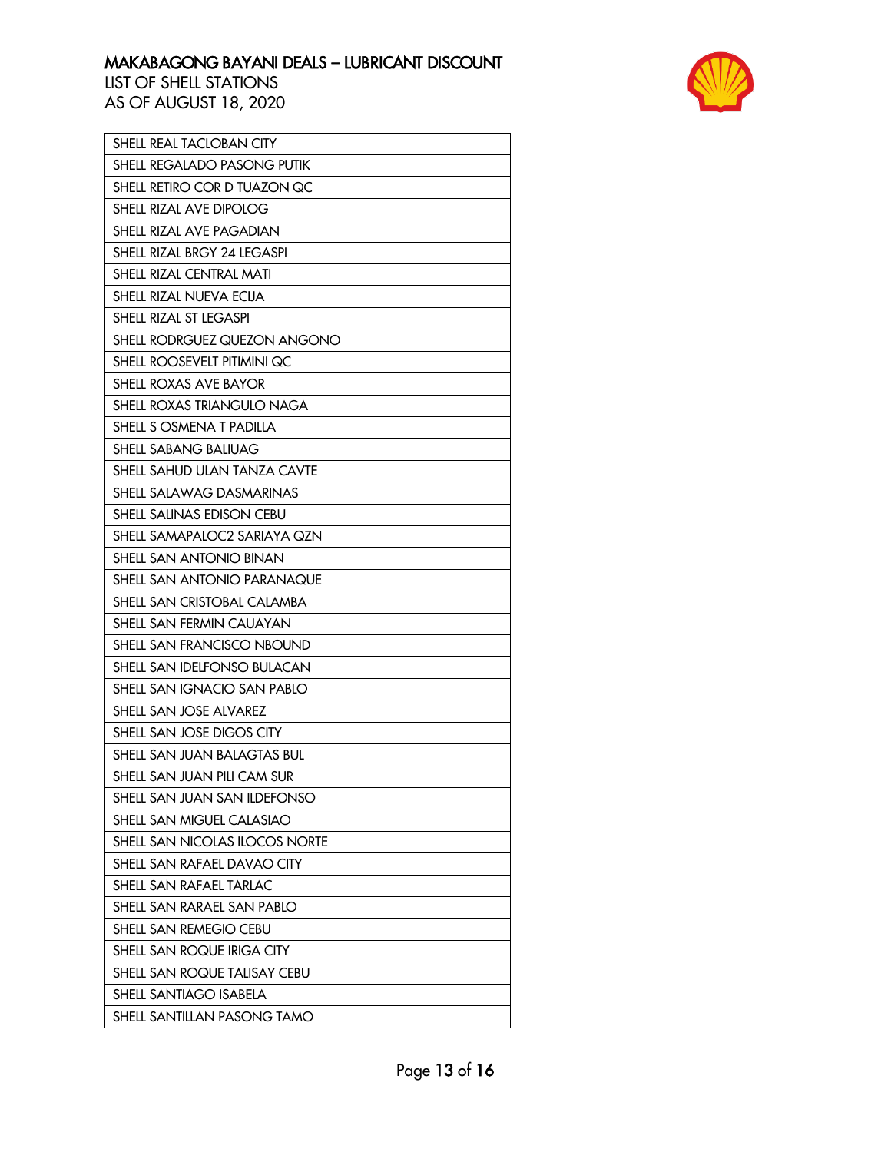

| SHELL REAL TACLOBAN CITY           |
|------------------------------------|
| SHELL REGALADO PASONG PUTIK        |
| SHELL RETIRO COR D TUAZON QC       |
| SHELL RIZAL AVE DIPOLOG            |
| SHELL RIZAL AVE PAGADIAN           |
| SHELL RIZAL BRGY 24 LEGASPI        |
| SHELL RIZAL CENTRAL MATI           |
| SHELL RIZAL NUEVA ECIJA            |
| SHELL RIZAL ST LEGASPI             |
| SHELL RODRGUEZ QUEZON ANGONO       |
| SHELL ROOSEVELT PITIMINI QC        |
| SHELL ROXAS AVE BAYOR              |
| SHELL ROXAS TRIANGULO NAGA         |
| SHELL S OSMENA T PADILLA           |
| <b>SHELL SABANG BALIUAG</b>        |
| SHELL SAHUD ULAN TANZA CAVTE       |
| SHELL SALAWAG DASMARINAS           |
| SHELL SALINAS EDISON CEBU          |
| SHELL SAMAPALOC2 SARIAYA QZN       |
| SHELL SAN ANTONIO BINAN            |
| <b>SHELL SAN ANTONIO PARANAQUE</b> |
| SHELL SAN CRISTOBAL CALAMBA        |
| SHELL SAN FERMIN CAUAYAN           |
| SHELL SAN FRANCISCO NBOUND         |
| SHELL SAN IDELFONSO BULACAN        |
| SHELL SAN IGNACIO SAN PABLO        |
| SHELL SAN JOSE ALVAREZ             |
| SHELL SAN JOSE DIGOS CITY          |
| SHELL SAN JUAN BALAGTAS BUL        |
| SHELL SAN JUAN PILI CAM SUR        |
| SHELL SAN JUAN SAN ILDEFONSO       |
| SHELL SAN MIGUEL CALASIAO          |
| SHELL SAN NICOLAS ILOCOS NORTE     |
| SHELL SAN RAFAEL DAVAO CITY        |
| SHELL SAN RAFAEL TARLAC            |
| SHELL SAN RARAEL SAN PABLO         |
| SHELL SAN REMEGIO CEBU             |
| SHELL SAN ROQUE IRIGA CITY         |
| SHELL SAN ROQUE TALISAY CEBU       |
| SHELL SANTIAGO ISABELA             |
| SHELL SANTILLAN PASONG TAMO        |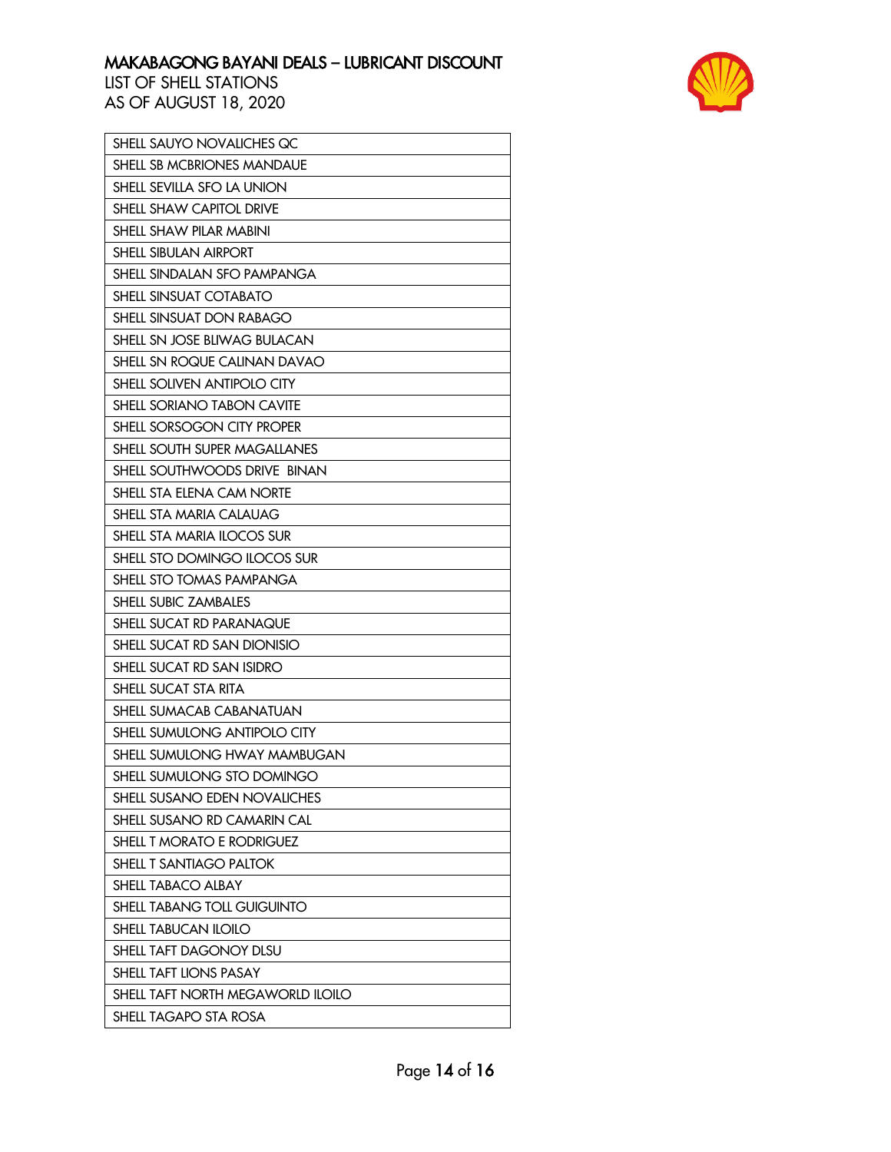

| SHELL SAUYO NOVALICHES QC         |
|-----------------------------------|
| SHELL SB MCBRIONES MANDAUE        |
| SHELL SEVILLA SFO LA UNION        |
| SHELL SHAW CAPITOL DRIVE          |
| SHELL SHAW PILAR MABINI           |
| SHELL SIBULAN AIRPORT             |
| SHELL SINDALAN SFO PAMPANGA       |
| SHELL SINSUAT COTABATO            |
| SHELL SINSUAT DON RABAGO          |
| SHELL SN JOSE BLIWAG BULACAN      |
| SHELL SN ROQUE CALINAN DAVAO      |
| SHELL SOLIVEN ANTIPOLO CITY       |
| SHELL SORIANO TABON CAVITE        |
| SHELL SORSOGON CITY PROPER        |
| SHELL SOUTH SUPER MAGALLANES      |
| SHELL SOUTHWOODS DRIVE BINAN      |
| SHELL STA ELENA CAM NORTE         |
| SHELL STA MARIA CALAUAG           |
| SHELL STA MARIA ILOCOS SUR        |
| SHELL STO DOMINGO ILOCOS SUR      |
| SHELL STO TOMAS PAMPANGA          |
| SHELL SUBIC ZAMBALES              |
| SHELL SUCAT RD PARANAQUE          |
| SHELL SUCAT RD SAN DIONISIO       |
| SHELL SUCAT RD SAN ISIDRO         |
| SHELL SUCAT STA RITA              |
| SHELL SUMACAB CABANATUAN          |
| SHELL SUMULONG ANTIPOLO CITY      |
| SHELL SUMULONG HWAY MAMBUGAN      |
| SHELL SUMULONG STO DOMINGO        |
| SHELL SUSANO EDEN NOVALICHES      |
| SHELL SUSANO RD CAMARIN CAL       |
| SHELL T MORATO E RODRIGUEZ        |
| SHELL T SANTIAGO PALTOK           |
| SHELL TABACO ALBAY                |
| SHELL TABANG TOLL GUIGUINTO       |
| <b>SHELL TABUCAN ILOILO</b>       |
| SHELL TAFT DAGONOY DLSU           |
| SHELL TAFT LIONS PASAY            |
| SHELL TAFT NORTH MEGAWORLD ILOILO |
| SHELL TAGAPO STA ROSA             |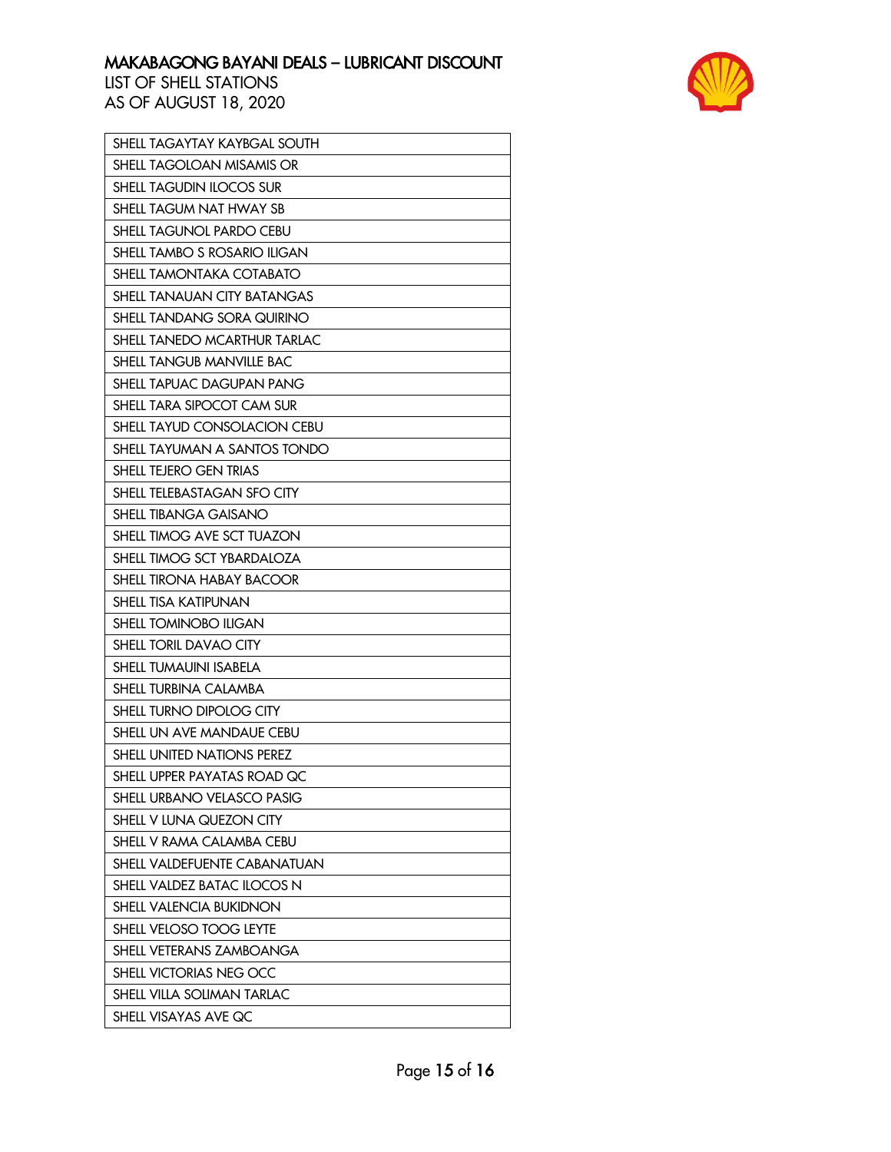

| SHELL TAGAYTAY KAYBGAL SOUTH        |
|-------------------------------------|
| SHELL TAGOLOAN MISAMIS OR           |
| <b>SHELL TAGUDIN ILOCOS SUR</b>     |
| SHELL TAGUM NAT HWAY SB             |
| <b>SHELL TAGUNOL PARDO CEBU</b>     |
| SHELL TAMBO S ROSARIO ILIGAN        |
| SHELL TAMONTAKA COTABATO            |
| SHELL TANAUAN CITY BATANGAS         |
| SHELL TANDANG SORA QUIRINO          |
| SHELL TANEDO MCARTHUR TARLAC        |
| <b>SHELL TANGUB MANVILLE BAC</b>    |
| SHELL TAPUAC DAGUPAN PANG           |
| SHELL TARA SIPOCOT CAM SUR          |
| SHELL TAYUD CONSOLACION CEBU        |
| SHELL TAYUMAN A SANTOS TONDO        |
| SHELL TEJERO GEN TRIAS              |
| SHELL TELEBASTAGAN SFO CITY         |
| <b>SHELL TIBANGA GAISANO</b>        |
| SHELL TIMOG AVE SCT TUAZON          |
| SHELL TIMOG SCT YBARDALOZA          |
| SHELL TIRONA HABAY BACOOR           |
| <b>SHELL TISA KATIPUNAN</b>         |
| SHELL TOMINOBO ILIGAN               |
| SHELL TORIL DAVAO CITY              |
| SHELL TUMAUINI ISABELA              |
| <b>SHELL TURBINA CALAMBA</b>        |
| SHELL TURNO DIPOLOG CITY            |
| SHELL UN AVE MANDAUE CEBU           |
| SHELL UNITED NATIONS PEREZ          |
| SHELL UPPER PAYATAS ROAD QC         |
| SHELL URBANO VELASCO PASIG          |
| SHELL V LUNA QUEZON CITY            |
| SHELL V RAMA CALAMBA CEBU           |
| <b>SHELL VALDEFUENTE CABANATUAN</b> |
| SHELL VALDEZ BATAC ILOCOS N         |
| SHELL VALENCIA BUKIDNON             |
| SHELL VELOSO TOOG LEYTE             |
| SHELL VETERANS ZAMBOANGA            |
| SHELL VICTORIAS NEG OCC             |
| SHELL VILLA SOLIMAN TARLAC          |
| SHELL VISAYAS AVE QC                |